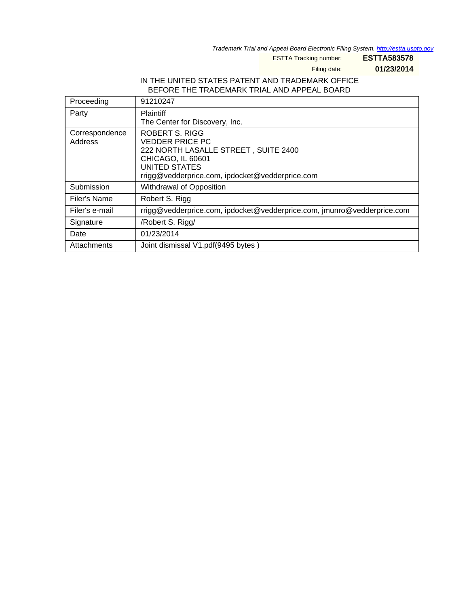Trademark Trial and Appeal Board Electronic Filing System. <http://estta.uspto.gov>

ESTTA Tracking number: **ESTTA583578**

Filing date: **01/23/2014**

## IN THE UNITED STATES PATENT AND TRADEMARK OFFICE BEFORE THE TRADEMARK TRIAL AND APPEAL BOARD

| Proceeding                | 91210247                                                                                                                                                                                       |
|---------------------------|------------------------------------------------------------------------------------------------------------------------------------------------------------------------------------------------|
| Party                     | <b>Plaintiff</b><br>The Center for Discovery, Inc.                                                                                                                                             |
| Correspondence<br>Address | <b>ROBERT S. RIGG</b><br><b>VEDDER PRICE PC</b><br>222 NORTH LASALLE STREET, SUITE 2400<br><b>CHICAGO, IL 60601</b><br><b>UNITED STATES</b><br>rrigg@vedderprice.com, ipdocket@vedderprice.com |
| Submission                | Withdrawal of Opposition                                                                                                                                                                       |
| Filer's Name              | Robert S. Rigg                                                                                                                                                                                 |
| Filer's e-mail            | rrigg@vedderprice.com, ipdocket@vedderprice.com, jmunro@vedderprice.com                                                                                                                        |
| Signature                 | /Robert S. Rigg/                                                                                                                                                                               |
| Date                      | 01/23/2014                                                                                                                                                                                     |
| Attachments               | Joint dismissal V1.pdf(9495 bytes)                                                                                                                                                             |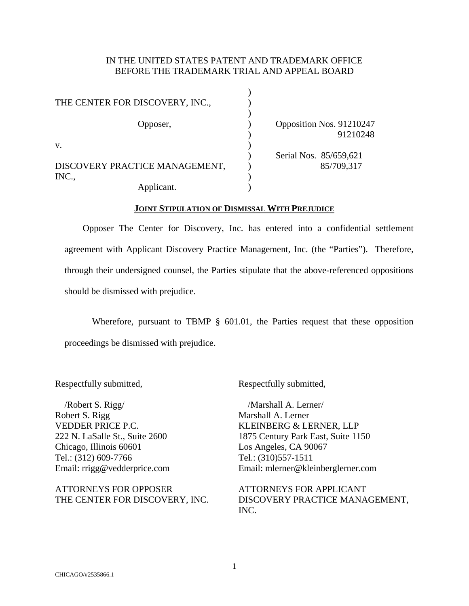# IN THE UNITED STATES PATENT AND TRADEMARK OFFICE BEFORE THE TRADEMARK TRIAL AND APPEAL BOARD

| THE CENTER FOR DISCOVERY, INC., |  |                          |
|---------------------------------|--|--------------------------|
| Opposer,                        |  | Opposition Nos. 91210247 |
| V.                              |  | 91210248                 |
|                                 |  | Serial Nos. 85/659,621   |
| DISCOVERY PRACTICE MANAGEMENT,  |  | 85/709,317               |
| INC.,                           |  |                          |
| Applicant.                      |  |                          |

#### **JOINT STIPULATION OF DISMISSAL WITH PREJUDICE**

 Opposer The Center for Discovery, Inc. has entered into a confidential settlement agreement with Applicant Discovery Practice Management, Inc. (the "Parties"). Therefore, through their undersigned counsel, the Parties stipulate that the above-referenced oppositions should be dismissed with prejudice.

Wherefore, pursuant to TBMP § 601.01, the Parties request that these opposition proceedings be dismissed with prejudice.

Respectfully submitted,

 /Robert S. Rigg/ Robert S. Rigg VEDDER PRICE P.C. 222 N. LaSalle St., Suite 2600 Chicago, Illinois 60601 Tel.: (312) 609-7766 Email: rrigg@vedderprice.com

ATTORNEYS FOR OPPOSER THE CENTER FOR DISCOVERY, INC. Respectfully submitted,

 /Marshall A. Lerner/ Marshall A. Lerner KLEINBERG & LERNER, LLP 1875 Century Park East, Suite 1150 Los Angeles, CA 90067 Tel.: (310)557-1511 Email: mlerner@kleinberglerner.com

ATTORNEYS FOR APPLICANT DISCOVERY PRACTICE MANAGEMENT, INC.